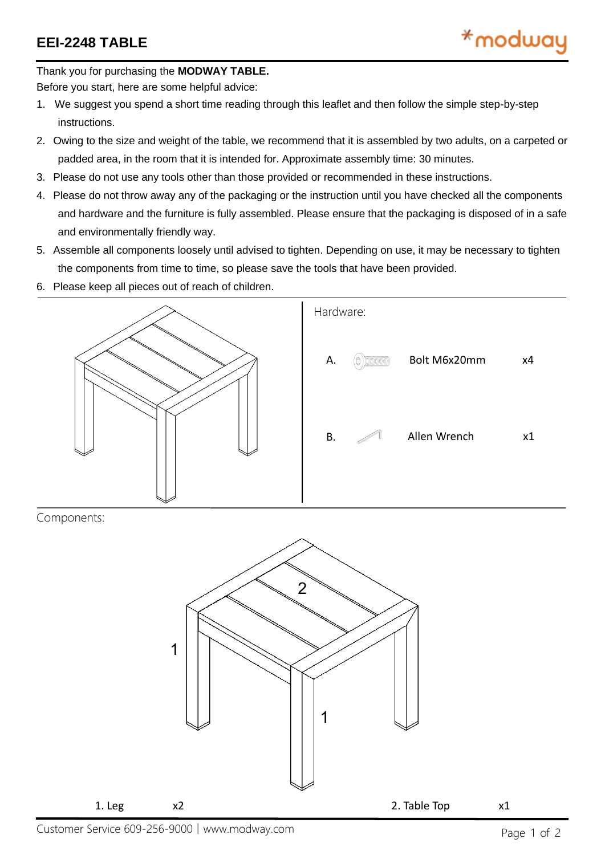Thank you for purchasing the **MODWAY TABLE.**

Before you start, here are some helpful advice:

- 1. We suggest you spend a short time reading through this leaflet and then follow the simple step-by-step instructions.
- 2. Owing to the size and weight of the table, we recommend that it is assembled by two adults, on a carpeted or padded area, in the room that it is intended for. Approximate assembly time: 30 minutes.
- 3. Please do not use any tools other than those provided or recommended in these instructions.
- 4. Please do not throw away any of the packaging or the instruction until you have checked all the components and hardware and the furniture is fully assembled. Please ensure that the packaging is disposed of in a safe and environmentally friendly way.
- 5. Assemble all components loosely until advised to tighten. Depending on use, it may be necessary to tighten the components from time to time, so please save the tools that have been provided.
- 6. Please keep all pieces out of reach of children.



Components:



Customer Service 609-256-9000│www.modway.com Page 1 of 2